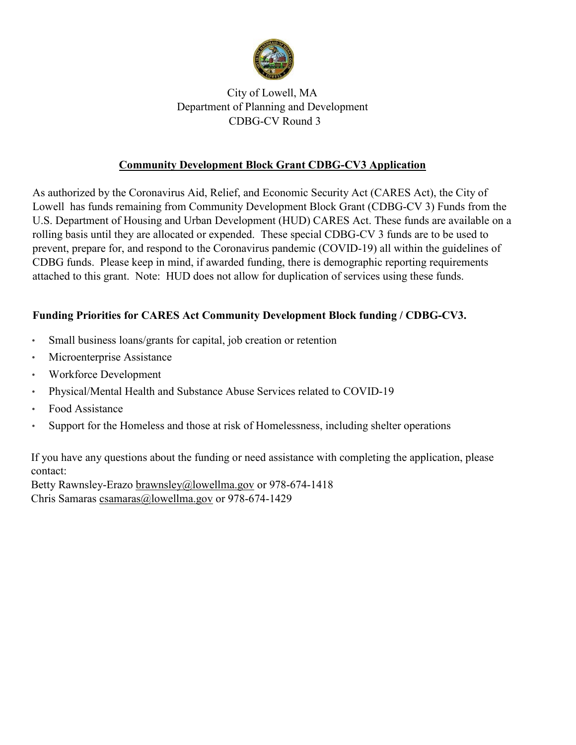

# City of Lowell, MA Department of Planning and Development CDBG-CV Round 3

# **Community Development Block Grant CDBG-CV3 Application**

As authorized by the Coronavirus Aid, Relief, and Economic Security Act (CARES Act), the City of Lowell has funds remaining from Community Development Block Grant (CDBG-CV 3) Funds from the U.S. Department of Housing and Urban Development (HUD) CARES Act. These funds are available on a rolling basis until they are allocated or expended. These special CDBG-CV 3 funds are to be used to prevent, prepare for, and respond to the Coronavirus pandemic (COVID-19) all within the guidelines of CDBG funds. Please keep in mind, if awarded funding, there is demographic reporting requirements attached to this grant. Note: HUD does not allow for duplication of services using these funds.

# **Funding Priorities for CARES Act Community Development Block funding / CDBG-CV3.**

- Small business loans/grants for capital, job creation or retention
- Microenterprise Assistance
- Workforce Development
- Physical/Mental Health and Substance Abuse Services related to COVID-19
- Food Assistance
- Support for the Homeless and those at risk of Homelessness, including shelter operations

If you have any questions about the funding or need assistance with completing the application, please contact:

Betty Rawnsley-Erazo [brawnsley@lowellma.gov](mailto:brawnsley@lowellma.gov) or 978-674-1418 Chris Samaras [csamaras@lowellma.gov](mailto:csamaras@lowellma.gov) or 978-674-1429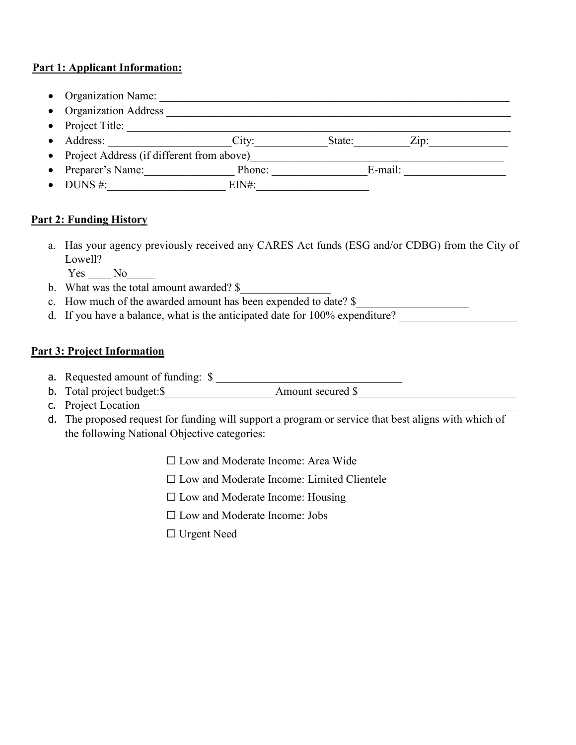#### **Part 1: Applicant Information:**

- Organization Name: \_\_\_\_\_\_\_\_\_\_\_\_\_\_\_\_\_\_\_\_\_\_\_\_\_\_\_\_\_\_\_\_\_\_\_\_\_\_\_\_\_\_\_\_\_\_\_\_\_\_\_\_\_\_\_\_\_\_\_\_\_\_
- Organization Address \_\_\_\_\_\_\_\_\_\_\_\_\_\_\_\_\_\_\_\_\_\_\_\_\_\_\_\_\_\_\_\_\_\_\_\_\_\_\_\_\_\_\_\_\_\_\_\_\_\_\_\_\_\_\_\_\_\_\_\_\_
- Project Title: \_\_\_\_\_\_\_\_\_\_\_\_\_\_\_\_\_\_\_\_\_\_\_\_\_\_\_\_\_\_\_\_\_\_\_\_\_\_\_\_\_\_\_\_\_\_\_\_\_\_\_\_\_\_\_\_\_\_\_\_\_\_\_\_\_\_\_\_
- Address:  $\begin{array}{ccc}\n\text{City:}\n\end{array}$  State: Zip:
- Project Address (if different from above)\_\_\_\_\_\_\_\_\_\_\_\_\_\_\_\_\_\_\_\_\_\_\_\_\_\_\_\_\_\_\_\_\_\_\_\_\_\_\_\_\_\_\_\_\_
- Preparer's Name: Phone: E-mail:
- DUNS  $\#$ :  $\qquad \qquad$  EIN#:

# **Part 2: Funding History**

a. Has your agency previously received any CARES Act funds (ESG and/or CDBG) from the City of Lowell?

Yes No

- b. What was the total amount awarded? \$
- c. How much of the awarded amount has been expended to date?  $\frac{1}{2}$
- d. If you have a balance, what is the anticipated date for  $100\%$  expenditure?

# **Part 3: Project Information**

- a. Requested amount of funding: \$ \_\_\_\_\_\_\_\_\_\_\_\_\_\_\_\_\_\_\_\_\_\_\_\_\_\_\_\_\_\_\_\_\_
- b. Total project budget:\$\_\_\_\_\_\_\_\_\_\_\_\_\_\_\_\_\_\_\_ Amount secured \$\_\_\_\_\_\_\_\_\_\_\_\_\_\_\_\_\_\_\_\_\_\_\_\_\_\_\_\_
- c. Project Location
- d. The proposed request for funding will support a program or service that best aligns with which of the following National Objective categories:
	- ☐ Low and Moderate Income: Area Wide
	- ☐ Low and Moderate Income: Limited Clientele
	- $\Box$  Low and Moderate Income: Housing
	- ☐ Low and Moderate Income: Jobs
	- ☐ Urgent Need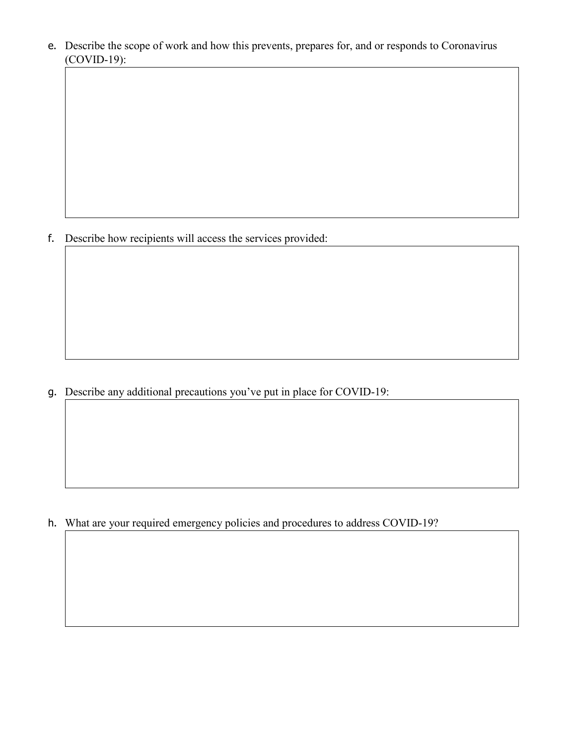e. Describe the scope of work and how this prevents, prepares for, and or responds to Coronavirus (COVID-19):

f. Describe how recipients will access the services provided:

g. Describe any additional precautions you've put in place for COVID-19:

h. What are your required emergency policies and procedures to address COVID-19?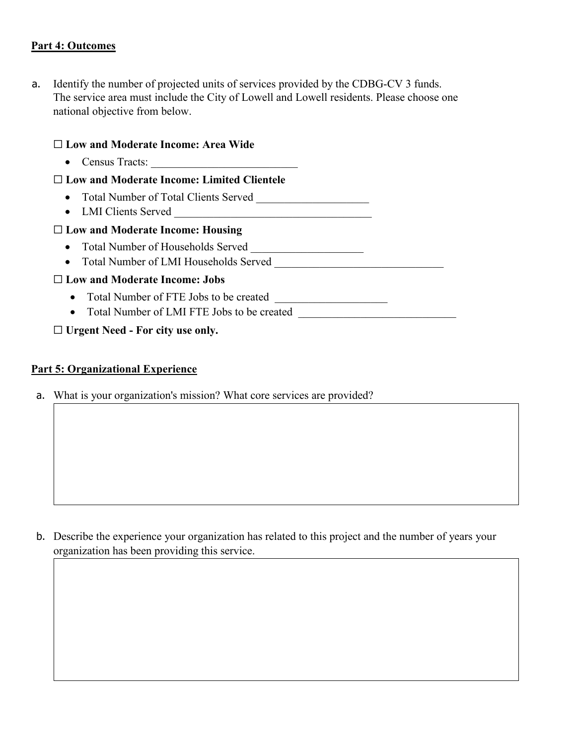#### **Part 4: Outcomes**

a. Identify the number of projected units of services provided by the CDBG-CV 3 funds. The service area must include the City of Lowell and Lowell residents. Please choose one national objective from below.

# ☐ **Low and Moderate Income: Area Wide** • Census Tracts: \_\_\_\_\_\_\_\_\_\_\_\_\_\_\_\_\_\_\_\_\_\_\_\_\_\_ ☐ **Low and Moderate Income: Limited Clientele** • Total Number of Total Clients Served • LMI Clients Served ☐ **Low and Moderate Income: Housing** • Total Number of Households Served \_\_\_\_\_\_\_\_\_\_\_\_\_\_\_\_\_\_\_\_ • Total Number of LMI Households Served ☐ **Low and Moderate Income: Jobs** • Total Number of FTE Jobs to be created \_\_\_\_\_\_\_\_\_\_\_\_\_\_\_\_\_\_\_\_ • Total Number of LMI FTE Jobs to be created \_\_\_\_\_\_\_\_\_\_\_\_\_\_\_\_\_\_\_\_\_\_\_\_\_\_\_\_\_\_\_\_\_\_\_ ☐ **Urgent Need - For city use only.**

#### **Part 5: Organizational Experience**

a. What is your organization's mission? What core services are provided?

b. Describe the experience your organization has related to this project and the number of years your organization has been providing this service.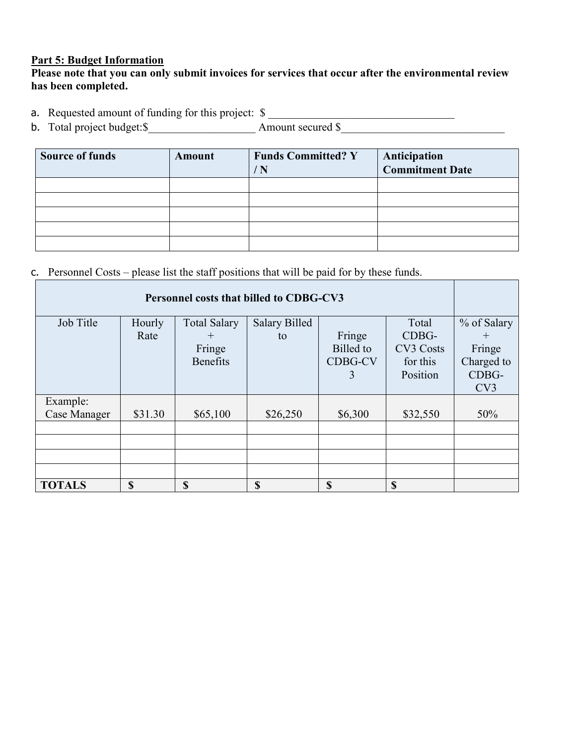#### **Part 5: Budget Information**

#### **Please note that you can only submit invoices for services that occur after the environmental review has been completed.**

a. Requested amount of funding for this project: \$

b. Total project budget:  $\frac{1}{s}$  Amount secured  $\frac{s}{s}$ 

| <b>Source of funds</b> | Amount | <b>Funds Committed? Y</b><br>$^{\prime}$ N | <b>Anticipation<br/>Commitment Date</b> |
|------------------------|--------|--------------------------------------------|-----------------------------------------|
|                        |        |                                            |                                         |
|                        |        |                                            |                                         |
|                        |        |                                            |                                         |
|                        |        |                                            |                                         |
|                        |        |                                            |                                         |

c. Personnel Costs – please list the staff positions that will be paid for by these funds.

|                                 |                |                               | Personnel costs that billed to CDBG-CV3 |                     |                      |                       |
|---------------------------------|----------------|-------------------------------|-----------------------------------------|---------------------|----------------------|-----------------------|
| Job Title                       | Hourly<br>Rate | <b>Total Salary</b><br>$^{+}$ | <b>Salary Billed</b><br>to              | Fringe              | Total<br>CDBG-       | % of Salary<br>$^{+}$ |
|                                 |                | Fringe                        |                                         | Billed to           | CV3 Costs            | Fringe                |
|                                 |                | <b>Benefits</b>               |                                         | <b>CDBG-CV</b><br>3 | for this<br>Position | Charged to<br>CDBG-   |
|                                 |                |                               |                                         |                     |                      | CV3                   |
| Example:<br><b>Case Manager</b> | \$31.30        | \$65,100                      | \$26,250                                | \$6,300             | \$32,550             | 50%                   |
|                                 |                |                               |                                         |                     |                      |                       |
|                                 |                |                               |                                         |                     |                      |                       |
|                                 |                |                               |                                         |                     |                      |                       |
|                                 |                |                               |                                         |                     |                      |                       |
| <b>TOTALS</b>                   | \$             | \$                            | \$                                      | \$                  | \$                   |                       |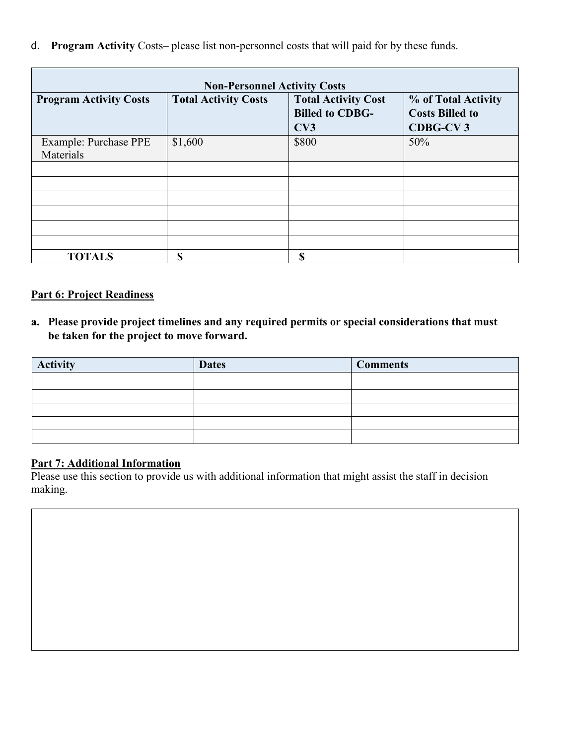d. **Program Activity** Costs– please list non-personnel costs that will paid for by these funds.

| <b>Non-Personnel Activity Costs</b> |                             |                                                             |                                                                  |
|-------------------------------------|-----------------------------|-------------------------------------------------------------|------------------------------------------------------------------|
| <b>Program Activity Costs</b>       | <b>Total Activity Costs</b> | <b>Total Activity Cost</b><br><b>Billed to CDBG-</b><br>CV3 | % of Total Activity<br><b>Costs Billed to</b><br><b>CDBG-CV3</b> |
| Example: Purchase PPE<br>Materials  | \$1,600                     | \$800                                                       | 50%                                                              |
|                                     |                             |                                                             |                                                                  |
|                                     |                             |                                                             |                                                                  |
|                                     |                             |                                                             |                                                                  |
|                                     |                             |                                                             |                                                                  |
|                                     |                             |                                                             |                                                                  |
|                                     |                             |                                                             |                                                                  |
| <b>TOTALS</b>                       | <b>S</b>                    | S                                                           |                                                                  |

# **Part 6: Project Readiness**

**a. Please provide project timelines and any required permits or special considerations that must be taken for the project to move forward.**

| <b>Activity</b> | <b>Dates</b> | <b>Comments</b> |
|-----------------|--------------|-----------------|
|                 |              |                 |
|                 |              |                 |
|                 |              |                 |
|                 |              |                 |
|                 |              |                 |

# **Part 7: Additional Information**

Please use this section to provide us with additional information that might assist the staff in decision making.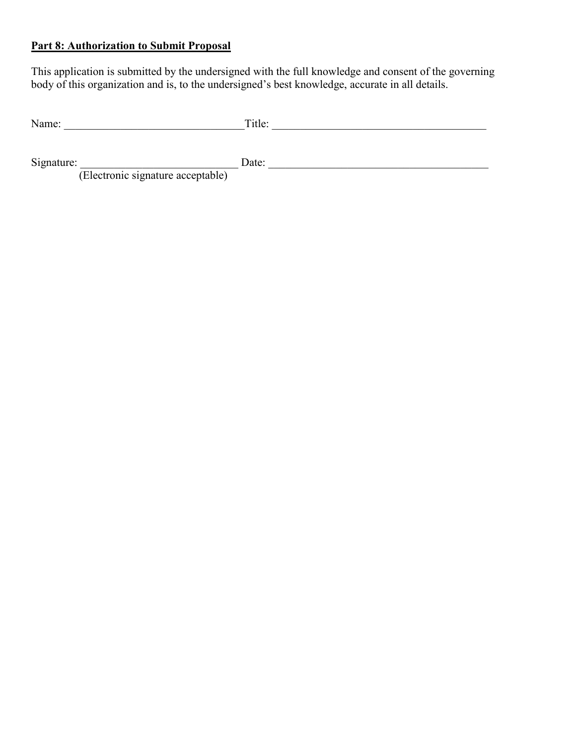#### **Part 8: Authorization to Submit Proposal**

This application is submitted by the undersigned with the full knowledge and consent of the governing body of this organization and is, to the undersigned's best knowledge, accurate in all details.

| Name. | $\overline{\phantom{0}}$<br>1 u v. |
|-------|------------------------------------|
|-------|------------------------------------|

Signature: \_\_\_\_\_\_\_\_\_\_\_\_\_\_\_\_\_\_\_\_\_\_\_\_\_\_\_\_ Date: \_\_\_\_\_\_\_\_\_\_\_\_\_\_\_\_\_\_\_\_\_\_\_\_\_\_\_\_\_\_\_\_\_\_\_\_\_\_\_

(Electronic signature acceptable)